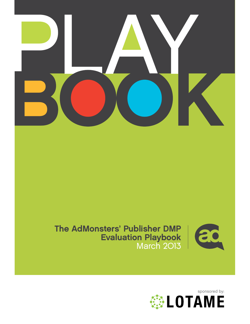

## The AdMonsters' Publisher DMP Evaluation Playbook March 2013



**EDIAME**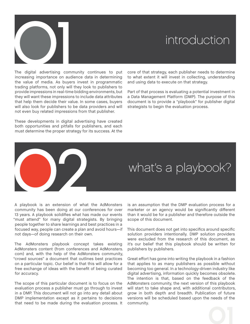

## introduction

The digital advertising community continues to put increasing importance on audience data in determining the value of media. As buyers invest in programmatic trading platforms, not only will they look to publishers to provide impressions in real-time bidding environments, but they will want these impressions to include data attributes that help them decide their value. In some cases, buyers will also look for publishers to be data providers and will not even buy related impressions from that publisher.

These developments in digital advertising have created both opportunities and pitfalls for publishers, and each must determine the proper strategy for its success. At the

core of that strategy, each publisher needs to determine to what extent it will invest in collecting, understanding and using data to execute on that strategy.

Part of that process is evaluating a potential investment in a Data Management Platform (DMP). The purpose of this document is to provide a "playbook" for publisher digital strategists to begin the evaluation process.

# what's a playbook?

A playbook is an extension of what the AdMonsters community has been doing at our conferences for over 13 years. A playbook solidifies what has made our events "must attend" for many digital strategists. By bringing people together to share learnings and best practices in a focused way, people can create a plan and avoid hours—if not days—of doing research on their own. 02

The AdMonsters playbook concept takes existing AdMonsters content (from conferences and AdMonsters. com) and, with the help of the AdMonsters community, "crowd sources" a document that outlines best practices on a particular topic. Our belief is that this will allow for a free exchange of ideas with the benefit of being curated for accuracy.

The scope of this particular document is to focus on the evaluation process a publisher must go through to invest in a DMP. This document will not go into any detail about DMP implementation except as it pertains to decisions that need to be made during the evaluation process. It is an assumption that the DMP evaluation process for a marketer or an agency would be significantly different than it would be for a publisher and therefore outside the scope of this document.

This document does not get into specifics around specific solution providers intentionally. DMP solution providers were excluded from the research of this document, as it's our belief that this playbook should be written for publishers by publishers.

Great effort has gone into writing the playbook in a fashion that applies to as many publishers as possible without becoming too general. In a technology-driven industry like digital advertising, information quickly becomes obsolete. The intention is that, based on the feedback of the AdMonsters community, the next version of this playbook will start to take shape and, with additional contributors, grow in both depth and breadth. Publication of future versions will be scheduled based upon the needs of the community.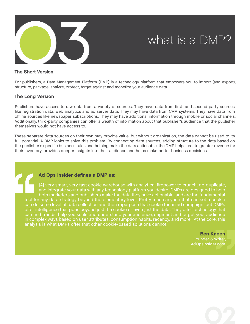

#### The Short Version

For publishers, a Data Management Platform (DMP) is a technology platform that empowers you to import (and export), structure, package, analyze, protect, target against and monetize your audience data.

#### The Long Version

Publishers have access to raw data from a variety of sources. They have data from first- and second-party sources, like registration data, web analytics and ad server data. They may have data from CRM systems. They have data from offline sources like newspaper subscriptions. They may have additional information through mobile or social channels. Additionally, third-party companies can offer a wealth of information about that publisher's audience that the publisher themselves would not have access to.

These separate data sources on their own may provide value, but without organization, the data cannot be used to its full potential. A DMP looks to solve this problem. By connecting data sources, adding structure to the data based on the publisher's specific business rules and helping make the data actionable, the DMP helps create greater revenue for their inventory, provides deeper insights into their audience and helps make better business decisions.

#### [Ad Ops Insider](http://www.adopsinsider.com) defines a DMP as:

[A] very smart, very fast cookie warehouse with analytical firepower to crunch, de-duplicate, and integrate your data with any technology platform you desire. DMPs are designed to help both marketers and publishers make the data they have actionable, and are the fundamental tool for any data strategy beyond the elementary level. Pretty much anyone that can set a cookie can do some level of data collection and then repurpose that cookie for an ad campaign, but DMPs offer intelligence that goes beyond just the cookie or even just the data. They offer technology that can find trends, help you scale and understand your audience, segment and target your audience in complex ways based on user attributes, consumption habits, recency, and more. At the core, this analysis is what DMPs offer that other cookie-based solutions cannot.

> Ben Kneen Founder & Writer, [AdOpsInsider.com](http://www.adopsinsider.com)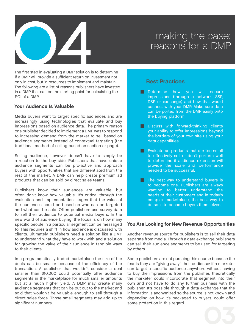

The first step in evaluating a DMP solution is to determine if a DMP will provide a sufficient return on investment not only in cost, but in resources to implement and maintain. The following are a list of reasons publishers have invested in a DMP that can be the starting point for calculating the ROI of a DMP.

#### Your Audience Is Valuable

Media buyers want to target specific audiences and are increasingly using technologies that evaluate and buy impressions based on audience data. The primary reason one publisher decided to implement a DMP was to respond to increasing demand from the market to sell based on audience segments instead of contextual targeting (the traditional method of selling based on section or page).

Selling audience, however doesn't have to simply be a reaction to the buy side. Publishers that have unique audience segments can be pro-active and approach buyers with opportunities that are differentiated from the rest of the market. A DMP can help create premium ad products that can be sold by direct sales teams.

Publishers know their audiences are valuable, but often don't know how valuable. It's critical through the evaluation and implementation stages that the value of the audience should be based on who can be targeted and what can be sold. Often publishers use survey data to sell their audience to potential media buyers. In the new world of audience buying, the focus is on how many specific people in a particular segment can be messaged to. This requires a shift in how audience is discussed with clients. Ultimately publishers need a solution like a DMP to understand what they have to work with and a solution for growing the value of their audience in tangible ways to their clients.

In a programmatically traded marketplace the size of the deals can be smaller because of the efficiency of the transaction. A publisher that wouldn't consider a deal smaller than \$10,000 could potentially offer audience segments in the marketplace for much smaller amounts but at a much higher yield. A DMP may create many audience segments that can be put out to the market and sold that wouldn't be valuable enough to sell through a direct sales force. Those small segments may add up to significant numbers.

## Best Practices

- **Best Practices**<br> **Determine how you will secure impressions (through a network, SSP,** DSP or exchange) and how that would connect with your DMP. Make sure data can be ported from the DMP easily onto the buying platform.
- **Discuss with forward-thinking clients** your ability to offer impressions beyond the borders of your own site using your data capabilities.
- **Evaluate ad products that are too small** to effectively sell or don't perform well to determine if audience extension will provide the scale and performance needed to be successful. provide the scale and performance<br>
needed to be successful.<br>
The best way to understand buyers is<br>
to become one. Publishers are always
- wanting to better understand the needs of their customers and in today's complex marketplace, the best way to do so is to become buyers themselves.

#### You Are Looking for New Revenue Opportunities

Another revenue source for publishers is to sell their data separate from media. Through a data exchange publishers can sell their audience segments to be used for targeting by others.

Some publishers are not pursuing this course because the fear is they are "giving away" their audience: if a marketer can target a specific audience anywhere without having to buy the impressions from the publisher, theoretically the marketer could incorporate that segment into their own and not have to do any further business with the publisher. It's possible through a data exchange that the information is anonymized so the source is not known and depending on how it's packaged to buyers, could offer some protection in this regard.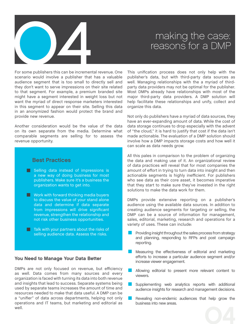

For some publishers this can be incremental revenue. One scenario would involve a publisher that has a valuable audience segment that is too small to directly sell and they don't want to serve impressions on their site related to that segment. For example, a premium branded site might have a segment interested in weight loss but not want the myriad of direct response marketers interested in this segment to appear on their site. Selling this data in an anonymized fashion would protect the brand and provide new revenue.

Another consideration would be the value of the data on its own separate from the media. Determine what comparable segments are selling for to assess the revenue opportunity.

## Best Practices

- **Example 3 Selling data instead of impressions is<br>
a new way of doing business for most** publishers. Make sure it's a business the organization wants to get into.
- $\blacksquare$  Work with forward thinking media buyers to discuss the value of your stand alone data and determine if data separate from impressions will drive significant revenue, strengthen the relationship and not risk other business opportunities.
- $\blacksquare$  Talk with your partners about the risks of selling audience data. Assess the risks.

#### You Need to Manage Your Data Better

DMPs are not only focused on revenue, but efficiency as well. Data comes from many sources and every organization is faced with turning its data into both revenue and insights that lead to success. Separate systems being used by separate teams increases the amount of time and resources needed to make that data useful. A DMP can be a "unifier" of data across departments, helping not only operations and IT teams, but marketing and editorial as well.

This unification process does not only help with the publisher's data, but with third-party data sources as well. Managing relationships with the a myriad of thirdparty data providers may not be optimal for the publisher. Most DMPs already have relationships with most of the major third-party data providers. A DMP solution will help facilitate these relationships and unify, collect and organize this data.

Not only do publishers have a myriad of data sources, they have an ever-expanding amount of data. While the cost of data storage continues to drop especially with the advent of "the cloud," it is hard to justify that cost if the data isn't made actionable. The evaluation of a DMP solution should involve how a DMP impacts storage costs and how well it can scale as data needs grow.

All this pales in comparison to the problem of organizing the data and making use of it. An organizational review of data practices will reveal that for most companies the amount of effort in trying to turn data into insight and then actionable segments is highly inefficient. For publishers who see data as their core asset, it becomes imperative that they start to make sure they've invested in the right solutions to make the data work for them.

DMPs provide extensive reporting on a publisher's audience using the available data sources. In addition to creating audience segments for targeting or selling, the DMP can be a source of information for management, EXIVE Carries a source of information for management, sales, editorial, marketing, research and operations for a variety of uses. These can include:<br>■ Providing insight throughout the sales process from strategy and plann variety of uses. These can include:

- and planning, responding to RFPs and post campaign reporting.
- **1.** Measuring insight a modglibute the sales process incrimatategy and planning, responding to RFPs and post campaign reporting.<br> **1.** Measuring the effectiveness of editorial and marketing efforts to increase a particula increase viewer engagement.
- viewers. Allowing editorial to present more relevant content to
- audience insights for research and management decisions. Supplementing web analytics reports with additional audience insights for research and management decisions.<br>Revealing non-endemic audiences that help grow the
- business into new areas.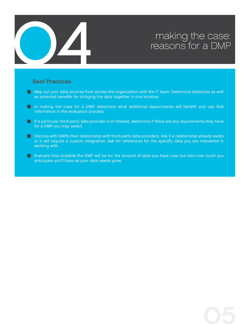

# making the case:<br>reasons for a DMP

## Best Practices

- $\blacksquare$  Map out your data sources from across the organization with the IT team. Determine obstacles as well as potential benefits for bringing the data together in one location. ■ Map out your data sources from across the organization with the IT team. Determine obstacles as well as potential benefits for bringing the data together in one location.<br>■ In making the case for a DMP, determine what a
- information in the evaluation process. ■ In making the case for a DMP, determine what additional departments will benefit and use that<br>information in the evaluation process.<br>If a particular third-party data provider is of interest, determine if there are any r
- for a DMP you may select. ■ If a particular third-party data provider is of interest, determine if there are any requirements they have<br>for a DMP you may select.<br>■ Discuss with DMPs their relationship with third-party data providers. Ask if a rela
- or it will require a custom integration. Ask for references for the specific data you are interested in working with.
- **EXALUATE:** Evaluate how scalable the DMP will be for the amount of data you have now, but also how much you anticipate you'll have as your data needs grow.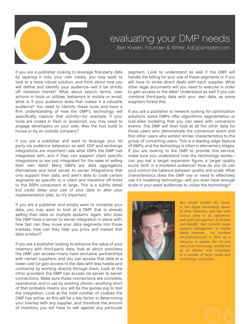

If you are a publisher looking to leverage first-party data by layering it onto your own media, you may want to look at a more robust solution, and think about how you will define and identify your audience—will it be strictly off visitation trends? What about search terms, user actions in tools or utilities, behaviors in mobile or email, what is it your audience does that makes it a valuable audience? You need to identify these tools and have a firm understanding of how the DMP's technology will specifically capture that activity—for example, if your tools are coded in flash or javascript, you may need to engage developers on your side. Was the tool build in house or by an outside company?

If you are a publisher and want to leverage your 1st party via audience extension as well, DSP and exchange integrations are important—ask what DSPs the DMP has integrated with, and if they can support client specific integrations or are just integrated for the sake of selling their own data? Many DMPs are data aggregators themselves and have server to server integrations that only support their data, and aren't able to code certain segments as specific to a client and therefore off limits to the DSPs consumers at large. This is a subtle detail but could delay your use of your data or alter your implementation plan, so it's important.

If you are a publisher and simply want to monetize your data, you may want to look at a DMP that is already selling their data on multiple systems. Again, who does the DMP have a server to server integration in place with, how fast can they move your data segments into those markets, how can they help you price and market that data product?

If you are a publisher looking to enhance the value of your inventory with third-party data, look at which providers the DMP can access—many have exclusive partnerships with certain suppliers, and you can access that data at a lower cost (or gain access to the data with less hassle and contracts) by working directly through them. Look at the other providers the DMP can access via server to server connections. Make sure those connections are complete, operational, and in use by existing clients—anything short of that probably means you will be the guinea pig to test the integration. Look at the total number of cookies the DMP has active, as this will be a key factor in determining your overlap with any supplier, and therefore the amount of inventory you will have to sell against any particular

segment. Look to understand as well if the DMP will handle the billing for your use of these segments or if you will have to strike direct deals with each supplier. What other legal documents will you need to execute in order to gain access to the data? Understand as well if you can combine third-party data with your own data, as some suppliers forbid this.

If you are a publisher or network looking for optimization solutions, some DMPs offer algorithmic segmentation or look-alike modeling that you can seed with conversion events. The DMP will then look at all the other data for those users who demonstrate the conversion event and find other users who exhibit similar characteristics to the group of converting users. This is a leading edge feature of DMPs, and the technology is often in elementary stages. If you are looking to the DMP to provide this service, make sure you understand how the technology works can you set a target expansion figure, a target quality score, both in a modeled audience? How do you (or can you) control the balance between quality and scale. What characteristics does the DMP use or need to effectively use it's modeling technology—will you even have enough scale in your seed audiences to utilize the technology?



Ben Kneen started his career in the digital advertising space at Atlas Solutions, and has held various roles in ad operations and yield management at Rodale and WebMD. Ben currently leads product management at PayPal Media Network. He founded AdOpsInsider.com in 2010 as a resource to explain the ins and outs of ad technology, and serves as an adviser and consultant to a number of large media and technology companies.

06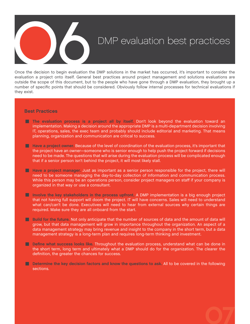

Once the decision to begin evaluation the DMP solutions in the market has occurred, it's important to consider the evaluation a project onto itself. General best practices around project management and solutions evaluations are outside the scope of this document, but to the people who have gone through a DMP evaluation, they brought up a number of specific points that should be considered. Obviously follow internal processes for technical evaluations if they exist.

#### Best Practices

- **The evaluation process is a project all by itself. Don't look beyond the evaluation toward an** implementation. Making a decision around the appropriate DMP is a multi-department decision involving IT, operations, sales, the exec team and probably should include editorial and marketing. That means planning, organization and communication are critical to success.
- **Have a project owner. Because of the level of coordination of the evaluation process, it's important that** the project have an owner—someone who is senior enough to help push the project forward if decisions need to be made. The questions that will arise during the evaluation process will be complicated enough that if a senior person isn't behind the project, it will most likely stall. meed to be made. The questions that will arise during the evaluation process will be complicated enough<br>that if a senior person isn't behind the project, it will most likely stall.<br>Have a project manager. Just as important
- While this person may be an operations person, consider project managers on staff if your company is organized in that way or use a consultant.<br> **Involve the key stakeholders in the process upfront**. A DMP implementation i organized in that way or use a consultant.
- that not having full support will doom the project. IT will have concerns. Sales will need to understand what can/can't be done. Executives will need to hear from external sources why certain things are required. Make sure they are all onboard from the start.<br> **Build for the future**. Not only anticipate that the number of sou required. Make sure they are all onboard from the start.
- grow, but that data management will grow in importance throughout the organization. An aspect of a data management strategy may bring revenue and insight to the company in the short term, but a data management strategy is a long-term plan and requires long-term thinking and investment.<br> **Define what success looks like.** management strategy is a long-term plan and requires long-term thinking and investment.
- the short term, long term and ultimately what a DMP should do for the organization. The clearer the definition, the greater the chances for success.<br> **Determine the key decision factors and know the questions to ask.** All definition, the greater the chances for success.
- sections.

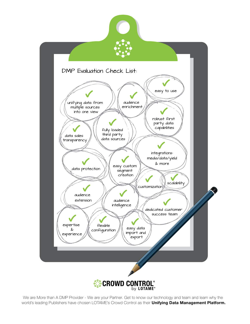

We are More than A DMP Provider - We are your Partner. Get to know our technology and team and learn why the world's leading Publishers have chosen LOTAME's Crowd Control as their Unifying Data Management Platform.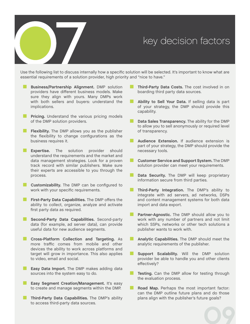Key decision factors<br>
Use the following list to discuss internally how a specific solution will be selected. It's important to know what are<br>
constal powitometric of a celution provider high priority and "piao to boue," Use the following list to discuss internally how a specific<br>
ssential requirements of a solution provider, high prior<br>
■ Business/Partnership Alignment. DMP solution<br>
providers have different business models. Make Use the following list to discuss internally how a specific solution will be selected. It's important to know what are<br> **Example 19 and 19 and 19 and 19 and 19 and 19 and 19 and 19 and 19 and 19 and 19 and 19 and 19 and 19** essential requirements of a solution provider, high priority and "nice to have."

- providers have different business models. Make sure they align with yours. Many DMPs work with both sellers and buyers: understand the implications.<br> **Pricing.** Understand the various pricing models of the DMP solution providers. implications.
- of the DMP solution providers. **Ficing.** Understand the various pricing models<br>of the DMP solution providers.<br>**Flexibility.** The DMP allows you as the publisher
- the flexibility to change configurations as the business requires it.
- **Expertise.** The solution provider should understand the requirements and the market and data management strategies. Look for a proven track record with similar publishers. Make sure their experts are accessible to you through the process. **Customizability.** The DMP can be configured to work with your specific requirements.
- work with your specific requirements. **First-Party Data Capabilities.** The DMP can be configured to work with your specific requirements.<br> **First-Party Data Capabilities.** The DMP offers the ability to collect, organize, analyze and activate
- ability to collect, organize, analyze and activate first party data as required. **Example 12 Second-Party Data Capabilities.** The DMP offers the ability to collect, organize, analyze and activate first party data as required.<br> **Second-Party Data Capabilities.** Second-party
- data (for example, ad server data), can provide useful data for new audience segments.
- **Cross-Platform Collection and Targeting.** As more traffic comes from mobile and other devices the ability to work across platforms and target will grow in importance. This also applies to video, email and social.
- **Easy Data Import.** The DMP makes adding data sources into the system easy to do. **Easy Data Import.** The DMP makes adding data<br>sources into the system easy to do.<br>**Easy Segment Creation/Management.** It's easy<br>to create and manage segments within the DMP.
- to create and manage segments within the DMP. **Easy Segment Creation/Management.** It's easy<br>to create and manage segments within the DMP.<br>Third-Party Data Capabilities. The DMP's ability<br>to access third-party data sources.
- to access third-party data sources.
- boarding third party data sources. **Ability to Sell Your Data.** If selling data is part of your strategy, the DMP should provide this
- capability. Ability to Sell Your Data. If selling data is part of your strategy, the DMP should provide this capability.<br>Data Sales Transparency. The ability for the DMP
- to allow you to sell anonymously or required level of transparency.
- **Audience Extension.** If audience extension is **Part of your strategy, the DMP should provide the necessary tools.**<br> **Customer Service and Support System.** The DMP solution provider can meet your requirements. necessary tools.
- solution provider can meet your requirements. ■ **Customer Service and Support System.** The DMP solution provider can meet your requirements.<br>■ **Data Security.** The DMP will keep proprietary information secure from third parties.
- information secure from third parties. **Example 15 Data Security.** The DMP will keep proprietary information secure from third parties.<br> **Third-Party Integration.** The DMP's ability to integrate with ad servers, ad networks. DSPs
- integrate with ad servers, ad networks, DSPs and content management systems for both data import and data export.
- . **Partner-Agnostic.** The DMP should allow you to work with any number of partners and not limit which SSPs, networks or other tech solutions a publisher wants to work with.
- . **Analytic Capabilities.** The DMP should meet the analytic requirements of the publisher. **Support Scalabilities.** The DMP should meet the analytic requirements of the publisher.<br> **Support Scalability.** Will the DMP solution provider be able to handle you and other clients
- effectively? **Example 19 Support Scalability.** Will the DMP solution provider be able to handle you and other clients effectively?<br> **Testing.** Can the DMP allow for testing through
- the evaluation process.
- **Road Map.** Perhaps the most important factor: can the DMP outline future plans and do those plans align with the publisher's future goals?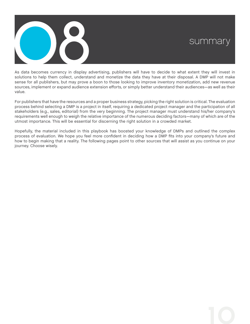

As data becomes currency in display advertising, publishers will have to decide to what extent they will invest in solutions to help them collect, understand and monetize the data they have at their disposal. A DMP will not make sense for all publishers, but may prove a boon to those looking to improve inventory monetization, add new revenue sources, implement or expand audience extension efforts, or simply better understand their audiences—as well as their value.

For publishers that have the resources and a proper business strategy, picking the right solution is critical. The evaluation process behind selecting a DMP is a project in itself, requiring a dedicated project manager and the participation of all stakeholders (e.g., sales, editorial) from the very beginning. The project manager must understand his/her company's requirements well enough to weigh the relative importance of the numerous deciding factors—many of which are of the utmost importance. This will be essential for discerning the right solution in a crowded market.

Hopefully, the material included in this playbook has boosted your knowledge of DMPs and outlined the complex process of evaluation. We hope you feel more confident in deciding how a DMP fits into your company's future and how to begin making that a reality. The following pages point to other sources that will assist as you continue on your journey. Choose wisely.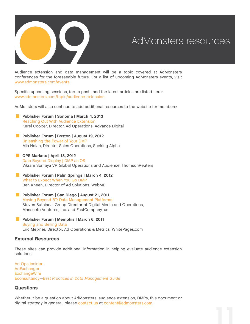

Audience extension and data management will be a topic covered at AdMonsters conferences for the foreseeable future. For a list of upcoming AdMonsters events, visit [www.admonsters.com/events](http://www.admonsters.com/events)

Specific upcoming sessions, forum posts and the latest articles are listed here: [www.admonsters.com/topic/audience-extension](http://www.admonsters.com/topic/audience-extension%20)

AdMonsters will also continue to add additional resources to the website for members:

- AdMonsters will also continue to add additional<br>**[Publisher Forum | Sonoma | March 4, 2013](http://www.admonsters.com/event/cn-us-29)**<br>Reaching Out With Audience Extension [Reaching Out With Audience Extension](http://www.admonsters.com/session/making-use-audience-extension/148410) Kerel Cooper, Director, Ad Operations, Advance Digital **Publisher Forum | Sonoma | March 4, 2013**<br>Reaching Out With Audience Extension<br>Kerel Cooper, Director, Ad Operations, Adva<br>**[Publisher Forum | Boston | August 19, 2012](http://www.admonsters.com/event/cn-us-27)** 
	- [Unleashing the Power of Your DMP](http://www.admonsters.com/session/unleashing-power-your-dmp/122216) Mia Nolan, Director Sales Operations, Seeking Alpha
- **D.** [OPS Markets | April 18, 2012](http://www.admonsters.com/event/mk-us-2) [Data Beyond Display | DMP as OS](http://www.admonsters.com/node/104837) Vikram Somaya VP, Global Operations and Audience, ThomsonReuters
- **[Publisher Forum | Palm Springs | March 4, 2012](http://www.admonsters.com/event/cn-us-26)** [What to Expect When You Go DMP](http://www.admonsters.com/node/105812) Ben Kneen, Director of Ad Solutions, WebMD
- .. **[Publisher Forum | San Diego | August 21, 2011](http://www.admonsters.com/event/cn-us-25%20)** [Moving Beyond BT: Data Management Platforms](http://www.admonsters.com/node/81596) Steven Suthiana, Group Director of Digital Media and Operations,<br>
Mansueto Ventures, Inc. and FastCompany, us<br> **Publisher Forum | Memphis | March 6, 2011**<br>
Buying and Selling Data Mansueto Ventures, Inc. and FastCompany, us
- [Buying and Selling Data](http://www.admonsters.com/node/63043) Eric Meixner, Director, Ad Operations & Metrics, WhitePages.com

#### External Resources

These sites can provide additional information in helping evaluate audience extension solutions:

[Ad Ops Insider](http://adopsinsider.com/) [AdExchanger](http://www.adexchanger.com/) **[ExchangeWire](http://exchangewire.com/)** [Econsultancy—](http://econsultancy.com/)*[Best Practices in Data Management Guide](http://econsultancy.com/reports/best-practices-in-data-management)*

#### **Questions**

Whether it be a question about AdMonsters, audience extension, DMPs, this document or digital strategy in general, please [contact us](http://www.admonsters.com/contact) at [content@admonsters.com](mailto:content%40admonsters.com?subject=).